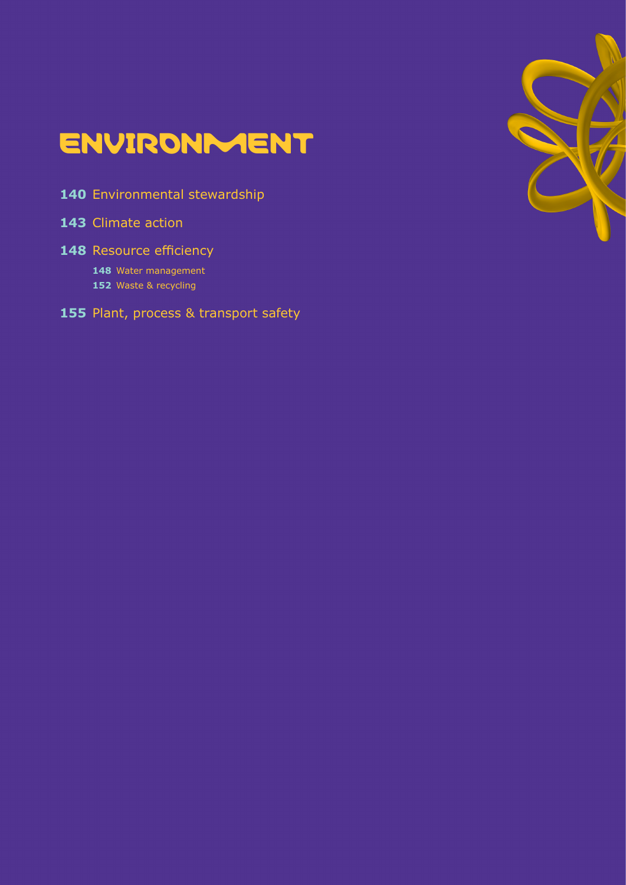# **ENVIRONMENT**

- [Environmental stewardship](#page-139-0)
- [Climate action](#page-142-0)
- [Resource efficiency](#page-147-0)
	- [Water management](#page-147-1)
	- [Waste & recycling](#page-151-0)
- [Plant, process & transport safety](#page-154-0)

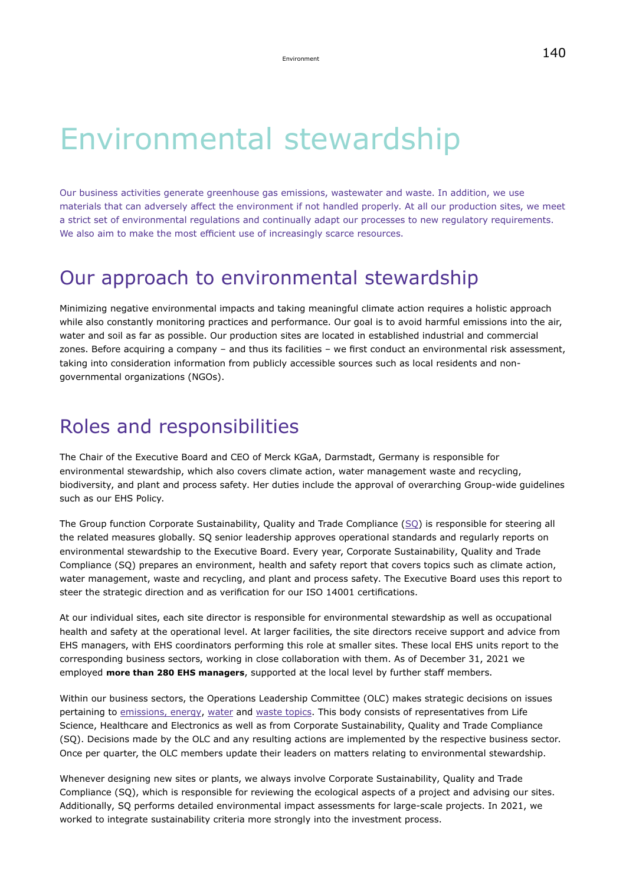# Environmental stewardship

Our business activities generate greenhouse gas emissions, wastewater and waste. In addition, we use materials that can adversely affect the environment if not handled properly. At all our production sites, we meet a strict set of environmental regulations and continually adapt our processes to new regulatory requirements. We also aim to make the most efficient use of increasingly scarce resources.

### Our approach to environmental stewardship

Minimizing negative environmental impacts and taking meaningful climate action requires a holistic approach while also constantly monitoring practices and performance. Our goal is to avoid harmful emissions into the air, water and soil as far as possible. Our production sites are located in established industrial and commercial zones. Before acquiring a company – and thus its facilities – we first conduct an environmental risk assessment, taking into consideration information from publicly accessible sources such as local residents and nongovernmental organizations (NGOs).

### Roles and responsibilities

The Chair of the Executive Board and CEO of Merck KGaA, Darmstadt, Germany is responsible for environmental stewardship, which also covers climate action, water management waste and recycling, biodiversity, and plant and process safety. Her duties include the approval of overarching Group-wide guidelines such as our EHS Policy.

The Group function Corporate Sustainability, Quality and Trade Compliance [\(SQ\)](https://www.emdgroup.com/en/news/new-group-function-sustainability-16-09-2021.html) is responsible for steering all the related measures globally. SQ senior leadership approves operational standards and regularly reports on environmental stewardship to the Executive Board. Every year, Corporate Sustainability, Quality and Trade Compliance (SQ) prepares an environment, health and safety report that covers topics such as climate action, water management, waste and recycling, and plant and process safety. The Executive Board uses this report to steer the strategic direction and as verification for our ISO 14001 certifications.

At our individual sites, each site director is responsible for environmental stewardship as well as occupational health and safety at the operational level. At larger facilities, the site directors receive support and advice from EHS managers, with EHS coordinators performing this role at smaller sites. These local EHS units report to the corresponding business sectors, working in close collaboration with them. As of December 31, 2021 we employed **more than 280 EHS managers**, supported at the local level by further staff members.

Within our business sectors, the Operations Leadership Committee (OLC) makes strategic decisions on issues pertaining to [emissions, energy,](#page-142-0) [water](#page-147-1) and [waste topics](#page-151-0). This body consists of representatives from Life Science, Healthcare and Electronics as well as from Corporate Sustainability, Quality and Trade Compliance (SQ). Decisions made by the OLC and any resulting actions are implemented by the respective business sector. Once per quarter, the OLC members update their leaders on matters relating to environmental stewardship.

Whenever designing new sites or plants, we always involve Corporate Sustainability, Quality and Trade Compliance (SQ), which is responsible for reviewing the ecological aspects of a project and advising our sites. Additionally, SQ performs detailed environmental impact assessments for large-scale projects. In 2021, we worked to integrate sustainability criteria more strongly into the investment process.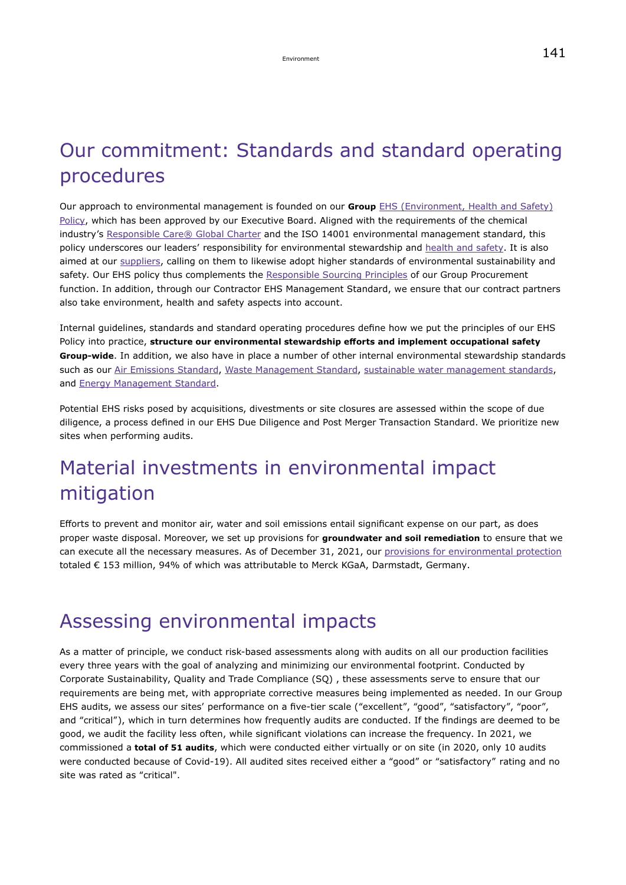# Our commitment: Standards and standard operating procedures

Our approach to environmental management is founded on our **Group** [EHS \(Environment, Health and Safety\)](https://www.emdgroup.com/content/dam/web/corporate/non-images/company/responsibility/us/EMD_EHS-Policy_US.pdf) [Policy,](https://www.emdgroup.com/content/dam/web/corporate/non-images/company/responsibility/us/EMD_EHS-Policy_US.pdf) which has been approved by our Executive Board. Aligned with the requirements of the chemical industry's [Responsible Care® Global Charter](https://www.vci.de/vci/downloads-vci/se/icca-responsible-care-global-charter-commitment-may-2014.pdf) and the ISO 14001 environmental management standard, this policy underscores our leaders' responsibility for environmental stewardship and [health and safety.](#page-133-0) It is also aimed at our [suppliers,](#page-41-0) calling on them to likewise adopt higher standards of environmental sustainability and safety. Our EHS policy thus complements the [Responsible Sourcing Principles](https://www.emdgroup.com/content/dam/web/corporate/non-images/company/responsibility/us/MKGaA_Responsible_Sourcing_Principles.pdf) of our Group Procurement function. In addition, through our Contractor EHS Management Standard, we ensure that our contract partners also take environment, health and safety aspects into account.

Internal guidelines, standards and standard operating procedures define how we put the principles of our EHS Policy into practice, **structure our environmental stewardship efforts and implement occupational safety Group-wide**. In addition, we also have in place a number of other internal environmental stewardship standards such as our [Air Emissions Standard,](#page-142-1) [Waste Management Standard](#page-151-0), [sustainable water management standards](#page-147-1), and [Energy Management Standard](#page-142-0).

Potential EHS risks posed by acquisitions, divestments or site closures are assessed within the scope of due diligence, a process defined in our EHS Due Diligence and Post Merger Transaction Standard. We prioritize new sites when performing audits.

# Material investments in environmental impact mitigation

Efforts to prevent and monitor air, water and soil emissions entail significant expense on our part, as does proper waste disposal. Moreover, we set up provisions for **groundwater and soil remediation** to ensure that we can execute all the necessary measures. As of December 31, 2021, our [provisions for environmental protection](https://www.emdgroup.com/en/annualreport/2021/notes/operating-assets-liabilities-and-contingent-liabilities/other-provisions.html) totaled € 153 million, 94% of which was attributable to Merck KGaA, Darmstadt, Germany.

### Assessing environmental impacts

As a matter of principle, we conduct risk-based assessments along with audits on all our production facilities every three years with the goal of analyzing and minimizing our environmental footprint. Conducted by Corporate Sustainability, Quality and Trade Compliance (SQ) , these assessments serve to ensure that our requirements are being met, with appropriate corrective measures being implemented as needed. In our Group EHS audits, we assess our sites' performance on a five-tier scale ("excellent", "good", "satisfactory", "poor", and "critical"), which in turn determines how frequently audits are conducted. If the findings are deemed to be good, we audit the facility less often, while significant violations can increase the frequency. In 2021, we commissioned a **total of 51 audits**, which were conducted either virtually or on site (in 2020, only 10 audits were conducted because of Covid-19). All audited sites received either a "good" or "satisfactory" rating and no site was rated as "critical".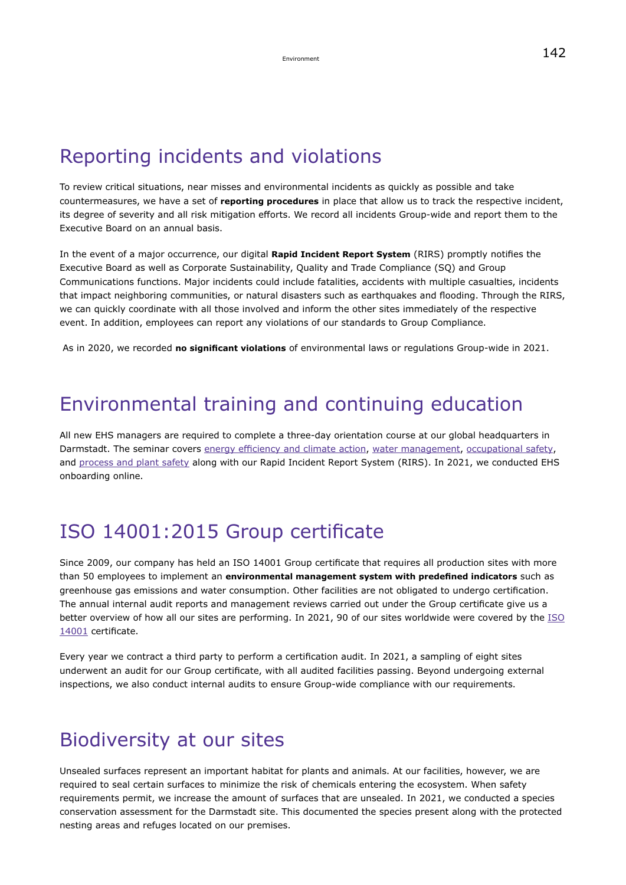## Reporting incidents and violations

To review critical situations, near misses and environmental incidents as quickly as possible and take countermeasures, we have a set of **reporting procedures** in place that allow us to track the respective incident, its degree of severity and all risk mitigation efforts. We record all incidents Group-wide and report them to the Executive Board on an annual basis.

In the event of a major occurrence, our digital **Rapid Incident Report System** (RIRS) promptly notifies the Executive Board as well as Corporate Sustainability, Quality and Trade Compliance (SQ) and Group Communications functions. Major incidents could include fatalities, accidents with multiple casualties, incidents that impact neighboring communities, or natural disasters such as earthquakes and flooding. Through the RIRS, we can quickly coordinate with all those involved and inform the other sites immediately of the respective event. In addition, employees can report any violations of our standards to Group Compliance.

As in 2020, we recorded **no significant violations** of environmental laws or regulations Group-wide in 2021.

### Environmental training and continuing education

All new EHS managers are required to complete a three-day orientation course at our global headquarters in Darmstadt. The seminar covers [energy efficiency and climate action](#page-142-0), [water management,](#page-147-1) [occupational safety](#page-133-0), and [process and plant safety](#page-154-0) along with our Rapid Incident Report System (RIRS). In 2021, we conducted EHS onboarding online.

### ISO 14001:2015 Group certificate

Since 2009, our company has held an ISO 14001 Group certificate that requires all production sites with more than 50 employees to implement an **environmental management system with predefined indicators** such as greenhouse gas emissions and water consumption. Other facilities are not obligated to undergo certification. The annual internal audit reports and management reviews carried out under the Group certificate give us a better overview of how all our sites are performing. In 2021, 90 of our sites worldwide were covered by the [ISO](https://www.emdgroup.com/company/responsibility/en/regulations-and-guidelines/Certificate-DIN-EN-ISO-14001-EN.pdf) [14001](https://www.emdgroup.com/company/responsibility/en/regulations-and-guidelines/Certificate-DIN-EN-ISO-14001-EN.pdf) certificate.

Every year we contract a third party to perform a certification audit. In 2021, a sampling of eight sites underwent an audit for our Group certificate, with all audited facilities passing. Beyond undergoing external inspections, we also conduct internal audits to ensure Group-wide compliance with our requirements.

### Biodiversity at our sites

Unsealed surfaces represent an important habitat for plants and animals. At our facilities, however, we are required to seal certain surfaces to minimize the risk of chemicals entering the ecosystem. When safety requirements permit, we increase the amount of surfaces that are unsealed. In 2021, we conducted a species conservation assessment for the Darmstadt site. This documented the species present along with the protected nesting areas and refuges located on our premises.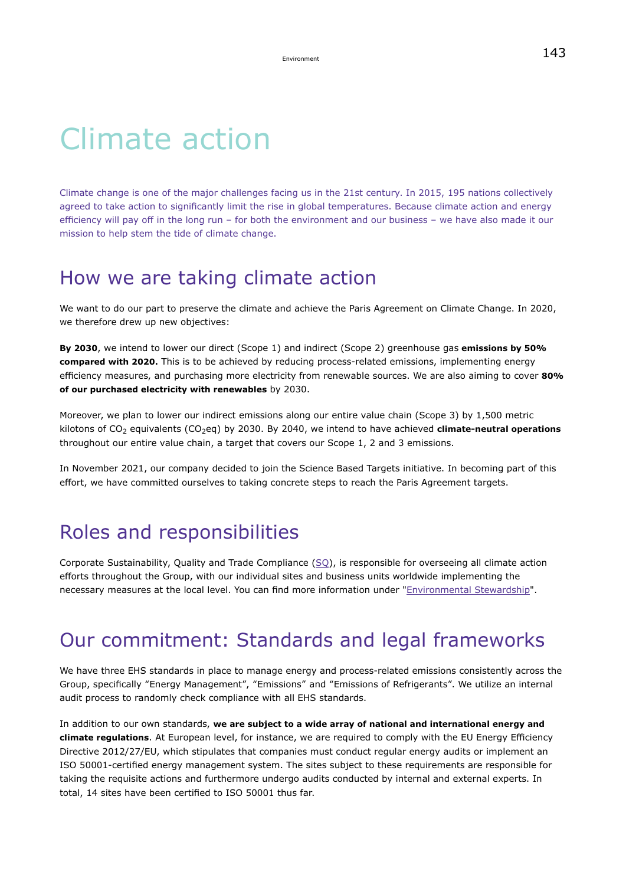# Climate action

Climate change is one of the major challenges facing us in the 21st century. In 2015, 195 nations collectively agreed to take action to significantly limit the rise in global temperatures. Because climate action and energy efficiency will pay off in the long run – for both the environment and our business – we have also made it our mission to help stem the tide of climate change.

### How we are taking climate action

We want to do our part to preserve the climate and achieve the Paris Agreement on Climate Change. In 2020, we therefore drew up new objectives:

**By 2030**, we intend to lower our direct (Scope 1) and indirect (Scope 2) greenhouse gas **emissions by 50% compared with 2020.** This is to be achieved by reducing process-related emissions, implementing energy efficiency measures, and purchasing more electricity from renewable sources. We are also aiming to cover **80% of our purchased electricity with renewables** by 2030.

Moreover, we plan to lower our indirect emissions along our entire value chain (Scope 3) by 1,500 metric kilotons of CO<sub>2</sub> equivalents (CO<sub>2</sub>eq) by 2030. By 2040, we intend to have achieved **climate-neutral operations** throughout our entire value chain, a target that covers our Scope 1, 2 and 3 emissions.

In November 2021, our company decided to join the Science Based Targets initiative. In becoming part of this effort, we have committed ourselves to taking concrete steps to reach the Paris Agreement targets.

### Roles and responsibilities

Corporate Sustainability, Quality and Trade Compliance  $(SQ)$ , is responsible for overseeing all climate action efforts throughout the Group, with our individual sites and business units worldwide implementing the necessary measures at the local level. You can find more information under "[Environmental Stewardship](#page-139-0)".

### Our commitment: Standards and legal frameworks

We have three EHS standards in place to manage energy and process-related emissions consistently across the Group, specifically "Energy Management", "Emissions" and "Emissions of Refrigerants". We utilize an internal audit process to randomly check compliance with all EHS standards.

In addition to our own standards, **we are subject to a wide array of national and international energy and climate regulations**. At European level, for instance, we are required to comply with the EU Energy Efficiency Directive 2012/27/EU, which stipulates that companies must conduct regular energy audits or implement an ISO 50001-certified energy management system. The sites subject to these requirements are responsible for taking the requisite actions and furthermore undergo audits conducted by internal and external experts. In total, 14 sites have been certified to ISO 50001 thus far.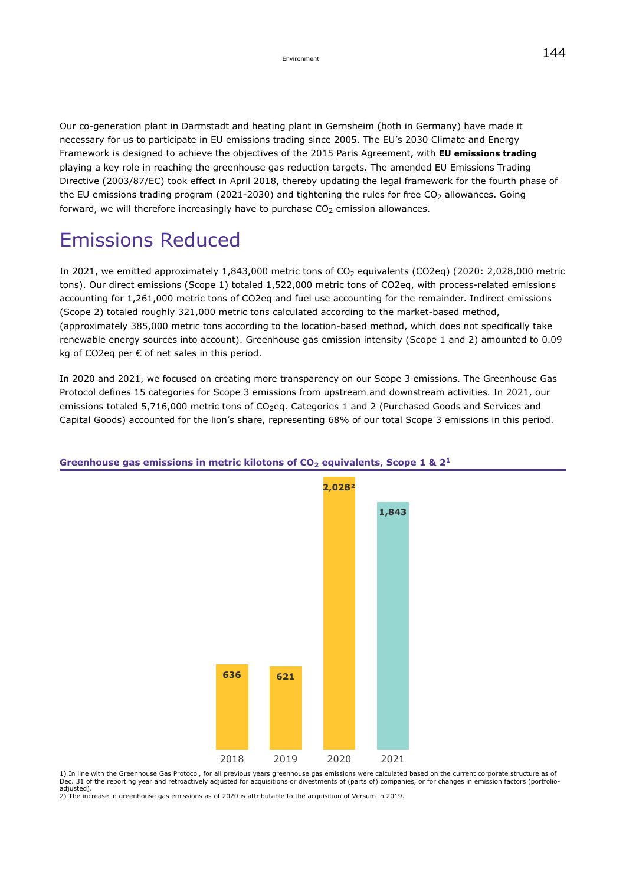Our co-generation plant in Darmstadt and heating plant in Gernsheim (both in Germany) have made it necessary for us to participate in EU emissions trading since 2005. The EU's 2030 Climate and Energy Framework is designed to achieve the objectives of the 2015 Paris Agreement, with **EU emissions trading** playing a key role in reaching the greenhouse gas reduction targets. The amended EU Emissions Trading Directive (2003/87/EC) took effect in April 2018, thereby updating the legal framework for the fourth phase of the EU emissions trading program (2021-2030) and tightening the rules for free  $CO<sub>2</sub>$  allowances. Going forward, we will therefore increasingly have to purchase  $CO<sub>2</sub>$  emission allowances.

## Emissions Reduced

In 2021, we emitted approximately  $1,843,000$  metric tons of  $CO<sub>2</sub>$  equivalents (CO2eq) (2020: 2,028,000 metric tons). Our direct emissions (Scope 1) totaled 1,522,000 metric tons of CO2eq, with process-related emissions accounting for 1,261,000 metric tons of CO2eq and fuel use accounting for the remainder. Indirect emissions (Scope 2) totaled roughly 321,000 metric tons calculated according to the market-based method, (approximately 385,000 metric tons according to the location-based method, which does not specifically take renewable energy sources into account). Greenhouse gas emission intensity (Scope 1 and 2) amounted to 0.09 kg of CO2eq per € of net sales in this period.

In 2020 and 2021, we focused on creating more transparency on our Scope 3 emissions. The Greenhouse Gas Protocol defines 15 categories for Scope 3 emissions from upstream and downstream activities. In 2021, our emissions totaled 5,716,000 metric tons of CO<sub>2</sub>eq. Categories 1 and 2 (Purchased Goods and Services and Capital Goods) accounted for the lion's share, representing 68% of our total Scope 3 emissions in this period.



#### **Greenhouse gas emissions in metric kilotons of CO<sup>2</sup> equivalents, Scope 1 & 2<sup>1</sup>**

1) In line with the Greenhouse Gas Protocol, for all previous years greenhouse gas emissions were calculated based on the current corporate structure as of<br>Dec. 31 of the reporting year and retroactively adjusted for acqui adjusted).

2) The increase in greenhouse gas emissions as of 2020 is attributable to the acquisition of Versum in 2019.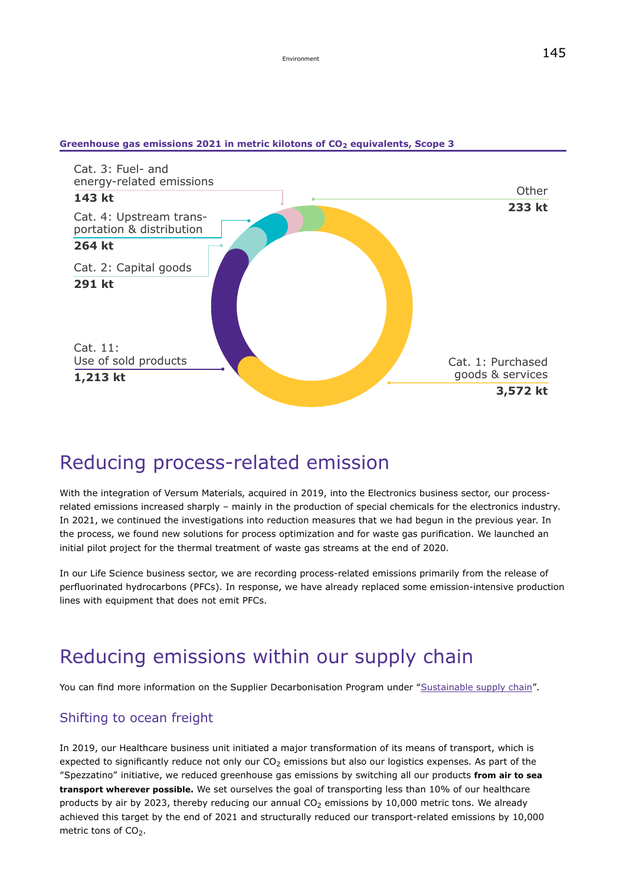

#### **Greenhouse gas emissions 2021 in metric kilotons of CO<sup>2</sup> equivalents, Scope 3**

### Reducing process-related emission

With the integration of Versum Materials, acquired in 2019, into the Electronics business sector, our processrelated emissions increased sharply – mainly in the production of special chemicals for the electronics industry. In 2021, we continued the investigations into reduction measures that we had begun in the previous year. In the process, we found new solutions for process optimization and for waste gas purification. We launched an initial pilot project for the thermal treatment of waste gas streams at the end of 2020.

In our Life Science business sector, we are recording process-related emissions primarily from the release of perfluorinated hydrocarbons (PFCs). In response, we have already replaced some emission-intensive production lines with equipment that does not emit PFCs.

### Reducing emissions within our supply chain

You can find more information on the Supplier Decarbonisation Program under ["Sustainable supply chain](#page-41-0)".

#### Shifting to ocean freight

In 2019, our Healthcare business unit initiated a major transformation of its means of transport, which is expected to significantly reduce not only our  $CO<sub>2</sub>$  emissions but also our logistics expenses. As part of the "Spezzatino" initiative, we reduced greenhouse gas emissions by switching all our products **from air to sea transport wherever possible.** We set ourselves the goal of transporting less than 10% of our healthcare products by air by 2023, thereby reducing our annual  $CO<sub>2</sub>$  emissions by 10,000 metric tons. We already achieved this target by the end of 2021 and structurally reduced our transport-related emissions by 10,000 metric tons of CO<sub>2</sub>.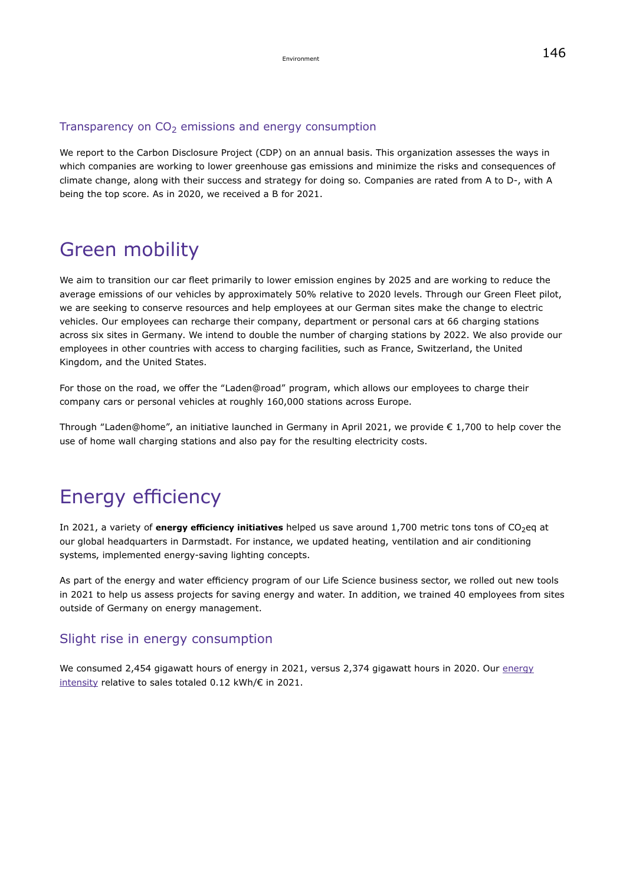#### Transparency on  $CO<sub>2</sub>$  emissions and energy consumption

We report to the Carbon Disclosure Project (CDP) on an annual basis. This organization assesses the ways in which companies are working to lower greenhouse gas emissions and minimize the risks and consequences of climate change, along with their success and strategy for doing so. Companies are rated from A to D-, with A being the top score. As in 2020, we received a B for 2021.

### Green mobility

We aim to transition our car fleet primarily to lower emission engines by 2025 and are working to reduce the average emissions of our vehicles by approximately 50% relative to 2020 levels. Through our Green Fleet pilot, we are seeking to conserve resources and help employees at our German sites make the change to electric vehicles. Our employees can recharge their company, department or personal cars at 66 charging stations across six sites in Germany. We intend to double the number of charging stations by 2022. We also provide our employees in other countries with access to charging facilities, such as France, Switzerland, the United Kingdom, and the United States.

For those on the road, we offer the "Laden@road" program, which allows our employees to charge their company cars or personal vehicles at roughly 160,000 stations across Europe.

Through "Laden@home", an initiative launched in Germany in April 2021, we provide  $\epsilon$  1,700 to help cover the use of home wall charging stations and also pay for the resulting electricity costs.

### Energy efficiency

In 2021, a variety of **energy efficiency initiatives** helped us save around 1,700 metric tons tons of CO<sub>2</sub>eq at our global headquarters in Darmstadt. For instance, we updated heating, ventilation and air conditioning systems, implemented energy-saving lighting concepts.

As part of the energy and water efficiency program of our Life Science business sector, we rolled out new tools in 2021 to help us assess projects for saving energy and water. In addition, we trained 40 employees from sites outside of Germany on energy management.

#### Slight rise in energy consumption

We consumed 2,454 gigawatt hours of [energy](#page-189-0) in 2021, versus 2,374 gigawatt hours in 2020. Our energy [intensity](#page-189-0) relative to sales totaled 0.12 kWh/€ in 2021.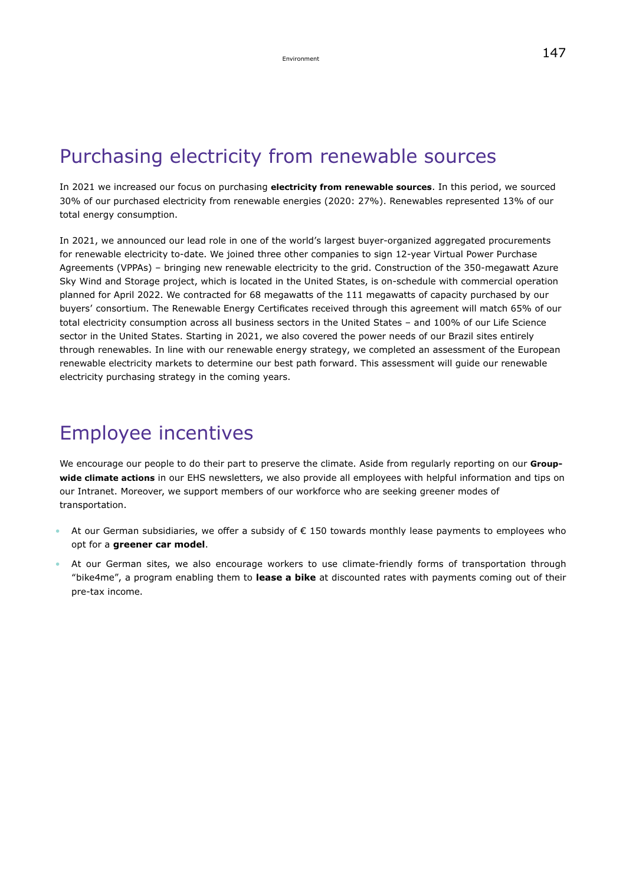### Purchasing electricity from renewable sources

In 2021 we increased our focus on purchasing **electricity from renewable sources**. In this period, we sourced 30% of our purchased electricity from renewable energies (2020: 27%). Renewables represented 13% of our total energy consumption.

In 2021, we announced our lead role in one of the world's largest buyer-organized aggregated procurements for renewable electricity to-date. We joined three other companies to sign 12-year Virtual Power Purchase Agreements (VPPAs) – bringing new renewable electricity to the grid. Construction of the 350-megawatt Azure Sky Wind and Storage project, which is located in the United States, is on-schedule with commercial operation planned for April 2022. We contracted for 68 megawatts of the 111 megawatts of capacity purchased by our buyers' consortium. The Renewable Energy Certificates received through this agreement will match 65% of our total electricity consumption across all business sectors in the United States – and 100% of our Life Science sector in the United States. Starting in 2021, we also covered the power needs of our Brazil sites entirely through renewables. In line with our renewable energy strategy, we completed an assessment of the European renewable electricity markets to determine our best path forward. This assessment will guide our renewable electricity purchasing strategy in the coming years.

### Employee incentives

We encourage our people to do their part to preserve the climate. Aside from regularly reporting on our **Groupwide climate actions** in our EHS newsletters, we also provide all employees with helpful information and tips on our Intranet. Moreover, we support members of our workforce who are seeking greener modes of transportation.

- At our German subsidiaries, we offer a subsidy of € 150 towards monthly lease payments to employees who opt for a **greener car model**.
- At our German sites, we also encourage workers to use climate-friendly forms of transportation through "bike4me", a program enabling them to **lease a bike** at discounted rates with payments coming out of their pre-tax income.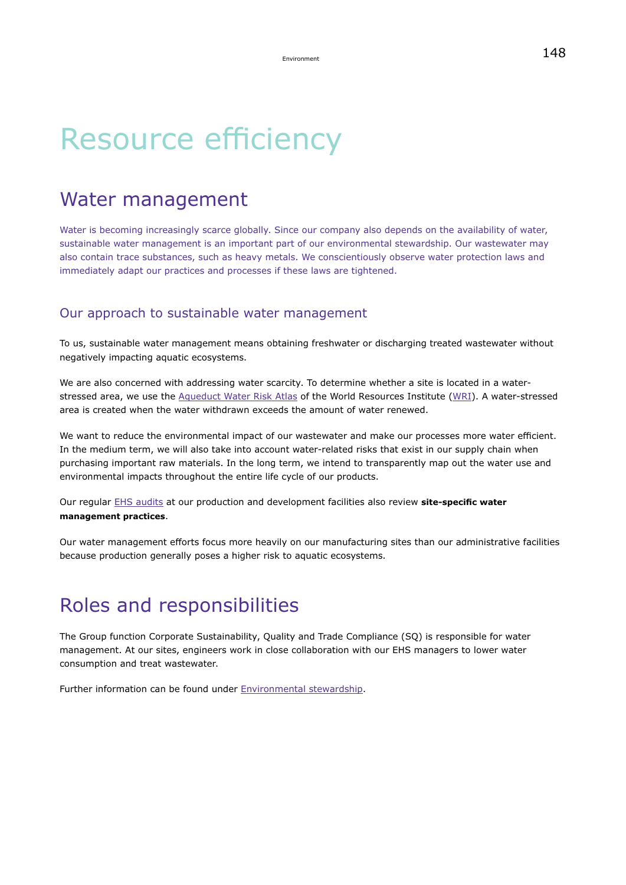# Resource efficiency

### Water management

Water is becoming increasingly scarce globally. Since our company also depends on the availability of water, sustainable water management is an important part of our environmental stewardship. Our wastewater may also contain trace substances, such as heavy metals. We conscientiously observe water protection laws and immediately adapt our practices and processes if these laws are tightened.

#### Our approach to sustainable water management

To us, sustainable water management means obtaining freshwater or discharging treated wastewater without negatively impacting aquatic ecosystems.

We are also concerned with addressing water scarcity. To determine whether a site is located in a waterstressed area, we use the [Aqueduct Water Risk Atlas](https://www.wri.org/resources/maps/aqueduct-water-risk-atlas) of the World Resources Institute ([WRI](https://www.wri.org/)). A water-stressed area is created when the water withdrawn exceeds the amount of water renewed.

We want to reduce the environmental impact of our wastewater and make our processes more water efficient. In the medium term, we will also take into account water-related risks that exist in our supply chain when purchasing important raw materials. In the long term, we intend to transparently map out the water use and environmental impacts throughout the entire life cycle of our products.

Our regular [EHS audits](#page-140-0) at our production and development facilities also review **site-specific water management practices**.

Our water management efforts focus more heavily on our manufacturing sites than our administrative facilities because production generally poses a higher risk to aquatic ecosystems.

### Roles and responsibilities

The Group function Corporate Sustainability, Quality and Trade Compliance (SQ) is responsible for water management. At our sites, engineers work in close collaboration with our EHS managers to lower water consumption and treat wastewater.

Further information can be found under [Environmental stewardship](#page-139-0).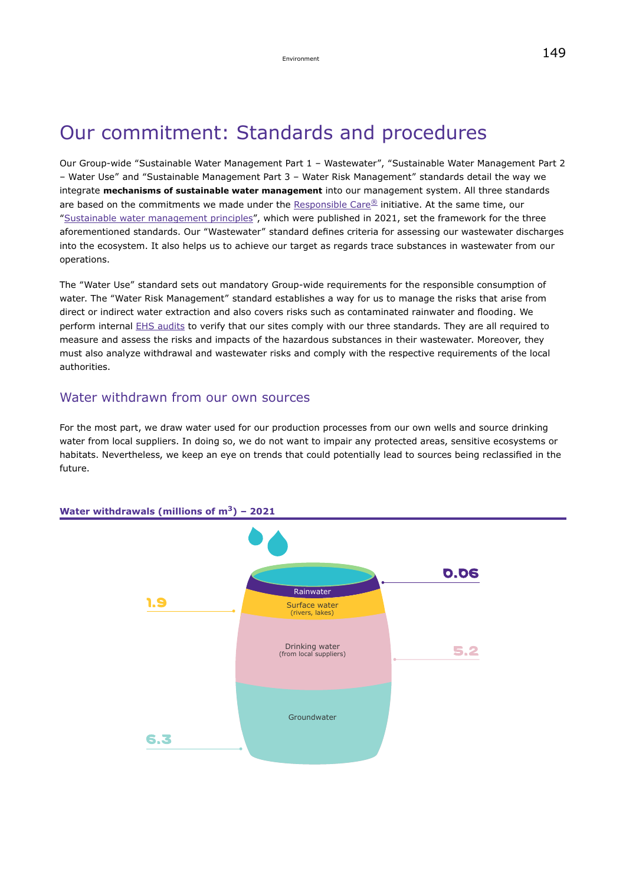## Our commitment: Standards and procedures

Our Group-wide "Sustainable Water Management Part 1 – Wastewater", "Sustainable Water Management Part 2 – Water Use" and "Sustainable Management Part 3 – Water Risk Management" standards detail the way we integrate **mechanisms of sustainable water management** into our management system. All three standards are based on the commitments we made under the [Responsible Care](https://icca-chem.org/focus/responsible-care/)[®](https://icca-chem.org/focus/responsible-care/) initiative. At the same time, our ["Sustainable water management principles"](https://www.emdgroup.com/content/dam/web/corporate/non-images/company/responsibility/us/regulations-and-guidelines/Principles-Sustainable-Water-Management-us.pdf), which were published in 2021, set the framework for the three aforementioned standards. Our "Wastewater" standard defines criteria for assessing our wastewater discharges into the ecosystem. It also helps us to achieve our target as regards trace substances in wastewater from our operations.

The "Water Use" standard sets out mandatory Group-wide requirements for the responsible consumption of water. The "Water Risk Management" standard establishes a way for us to manage the risks that arise from direct or indirect water extraction and also covers risks such as contaminated rainwater and flooding. We perform internal EHS audits to verify that our sites comply with our three standards. They are all required to measure and assess the risks and impacts of the hazardous substances in their wastewater. Moreover, they must also analyze withdrawal and wastewater risks and comply with the respective requirements of the local authorities.

#### Water withdrawn from our own sources

For the most part, we draw water used for our production processes from our own wells and source drinking water from local suppliers. In doing so, we do not want to impair any protected areas, sensitive ecosystems or habitats. Nevertheless, we keep an eye on trends that could potentially lead to sources being reclassified in the future.



#### **Water withdrawals (millions of m3) – 2021**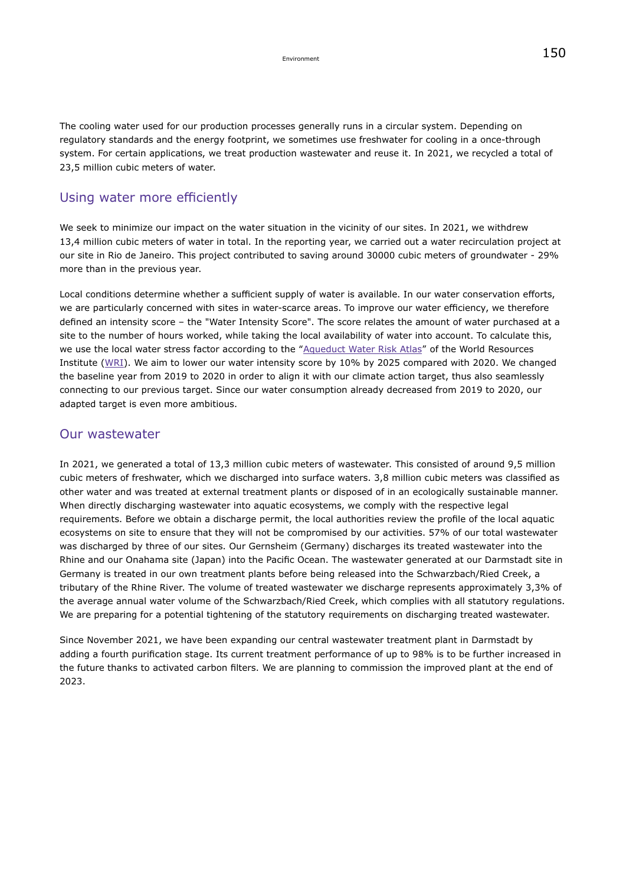#### Using water more efficiently

We seek to minimize our impact on the water situation in the vicinity of our sites. In 2021, we withdrew 13,4 million cubic meters of water in total. In the reporting year, we carried out a water recirculation project at our site in Rio de Janeiro. This project contributed to saving around 30000 cubic meters of groundwater - 29% more than in the previous year.

Local conditions determine whether a sufficient supply of water is available. In our water conservation efforts, we are particularly concerned with sites in water-scarce areas. To improve our water efficiency, we therefore defined an intensity score – the "Water Intensity Score". The score relates the amount of water purchased at a site to the number of hours worked, while taking the local availability of water into account. To calculate this, we use the local water stress factor according to the "[Aqueduct Water Risk Atlas"](https://www.wri.org/resources/maps/aqueduct-water-risk-atlas) of the World Resources Institute ([WRI\)](https://www.wri.org/). We aim to lower our water intensity score by 10% by 2025 compared with 2020. We changed the baseline year from 2019 to 2020 in order to align it with our climate action target, thus also seamlessly connecting to our previous target. Since our water consumption already decreased from 2019 to 2020, our adapted target is even more ambitious.

#### Our wastewater

In 2021, we generated a total of 13,3 million cubic meters of wastewater. This consisted of around 9,5 million cubic meters of freshwater, which we discharged into surface waters. 3,8 million cubic meters was classified as other water and was treated at external treatment plants or disposed of in an ecologically sustainable manner. When directly discharging wastewater into aquatic ecosystems, we comply with the respective legal requirements. Before we obtain a discharge permit, the local authorities review the profile of the local aquatic ecosystems on site to ensure that they will not be compromised by our activities. 57% of our total wastewater was discharged by three of our sites. Our Gernsheim (Germany) discharges its treated wastewater into the Rhine and our Onahama site (Japan) into the Pacific Ocean. The wastewater generated at our Darmstadt site in Germany is treated in our own treatment plants before being released into the Schwarzbach/Ried Creek, a tributary of the Rhine River. The volume of treated wastewater we discharge represents approximately 3,3% of the average annual water volume of the Schwarzbach/Ried Creek, which complies with all statutory regulations. We are preparing for a potential tightening of the statutory requirements on discharging treated wastewater.

Since November 2021, we have been expanding our central wastewater treatment plant in Darmstadt by adding a fourth purification stage. Its current treatment performance of up to 98% is to be further increased in the future thanks to activated carbon filters. We are planning to commission the improved plant at the end of 2023.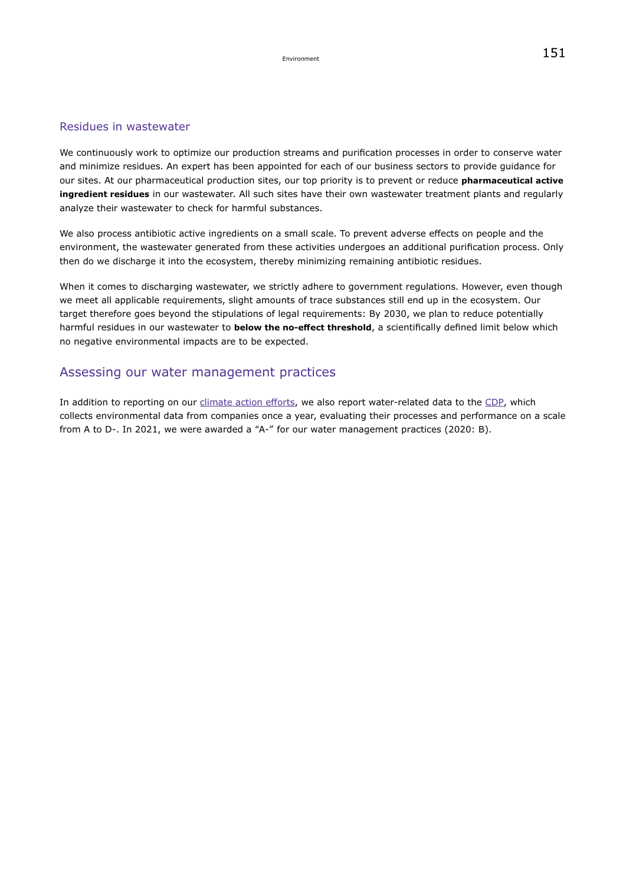#### Residues in wastewater

We continuously work to optimize our production streams and purification processes in order to conserve water and minimize residues. An expert has been appointed for each of our business sectors to provide guidance for our sites. At our pharmaceutical production sites, our top priority is to prevent or reduce **pharmaceutical active ingredient residues** in our wastewater. All such sites have their own wastewater treatment plants and regularly analyze their wastewater to check for harmful substances.

We also process antibiotic active ingredients on a small scale. To prevent adverse effects on people and the environment, the wastewater generated from these activities undergoes an additional purification process. Only then do we discharge it into the ecosystem, thereby minimizing remaining antibiotic residues.

When it comes to discharging wastewater, we strictly adhere to government regulations. However, even though we meet all applicable requirements, slight amounts of trace substances still end up in the ecosystem. Our target therefore goes beyond the stipulations of legal requirements: By 2030, we plan to reduce potentially harmful residues in our wastewater to **below the no-effect threshold**, a scientifically defined limit below which no negative environmental impacts are to be expected.

#### Assessing our water management practices

In addition to reporting on our [climate action efforts](#page-142-0), we also report water-related data to the [CDP](https://www.cdp.net/en/water), which collects environmental data from companies once a year, evaluating their processes and performance on a scale from A to D-. In 2021, we were awarded a "A-" for our water management practices (2020: B).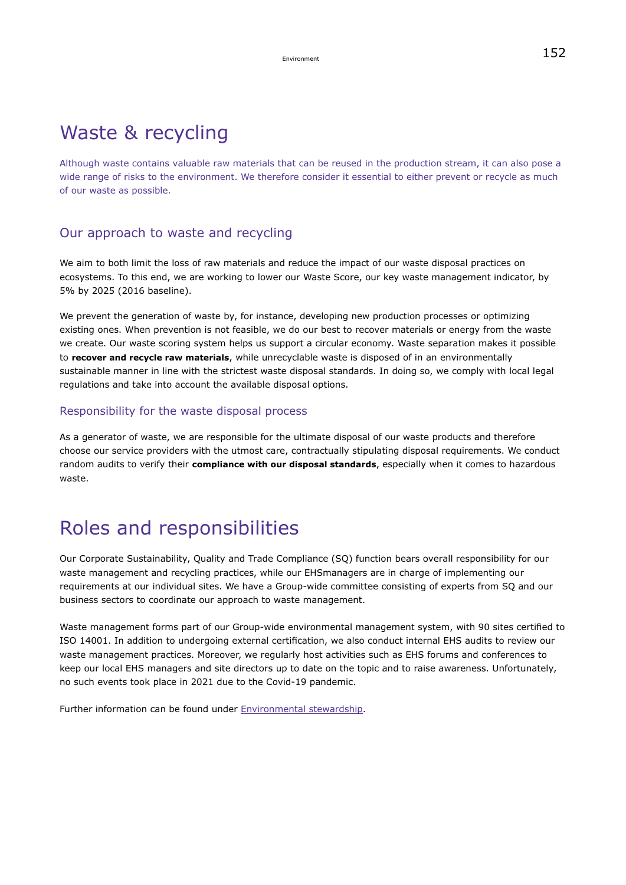### Waste & recycling

Although waste contains valuable raw materials that can be reused in the production stream, it can also pose a wide range of risks to the environment. We therefore consider it essential to either prevent or recycle as much of our waste as possible.

#### Our approach to waste and recycling

We aim to both limit the loss of raw materials and reduce the impact of our waste disposal practices on ecosystems. To this end, we are working to lower our Waste Score, our key waste management indicator, by 5% by 2025 (2016 baseline).

We prevent the generation of waste by, for instance, developing new production processes or optimizing existing ones. When prevention is not feasible, we do our best to recover materials or energy from the waste we create. Our waste scoring system helps us support a circular economy. Waste separation makes it possible to **recover and recycle raw materials**, while unrecyclable waste is disposed of in an environmentally sustainable manner in line with the strictest waste disposal standards. In doing so, we comply with local legal regulations and take into account the available disposal options.

#### Responsibility for the waste disposal process

As a generator of waste, we are responsible for the ultimate disposal of our waste products and therefore choose our service providers with the utmost care, contractually stipulating disposal requirements. We conduct random audits to verify their **compliance with our disposal standards**, especially when it comes to hazardous waste.

### Roles and responsibilities

Our Corporate Sustainability, Quality and Trade Compliance (SQ) function bears overall responsibility for our waste management and recycling practices, while our EHSmanagers are in charge of implementing our requirements at our individual sites. We have a Group-wide committee consisting of experts from SQ and our business sectors to coordinate our approach to waste management.

Waste management forms part of our Group-wide environmental management system, with 90 sites certified to ISO 14001. In addition to undergoing external certification, we also conduct internal EHS audits to review our waste management practices. Moreover, we regularly host activities such as EHS forums and conferences to keep our local EHS managers and site directors up to date on the topic and to raise awareness. Unfortunately, no such events took place in 2021 due to the Covid-19 pandemic.

Further information can be found under [Environmental stewardship](#page-139-0).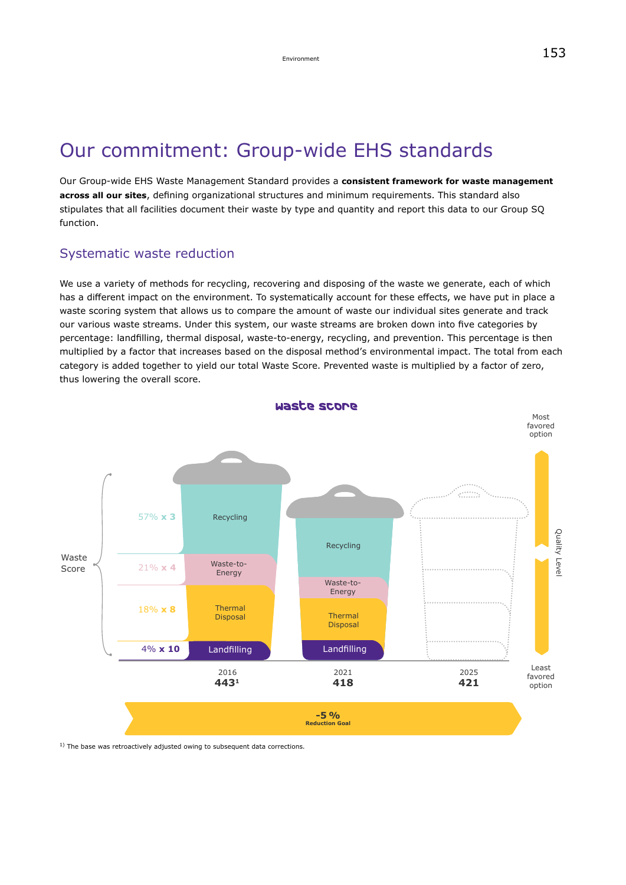## Our commitment: Group-wide EHS standards

Our Group-wide EHS Waste Management Standard provides a **consistent framework for waste management across all our sites**, defining organizational structures and minimum requirements. This standard also stipulates that all facilities document their waste by type and quantity and report this data to our Group SQ function.

#### Systematic waste reduction

We use a variety of methods for recycling, recovering and disposing of the waste we generate, each of which has a different impact on the environment. To systematically account for these effects, we have put in place a waste scoring system that allows us to compare the amount of waste our individual sites generate and track our various waste streams. Under this system, our waste streams are broken down into five categories by percentage: landfilling, thermal disposal, waste-to-energy, recycling, and prevention. This percentage is then multiplied by a factor that increases based on the disposal method's environmental impact. The total from each category is added together to yield our total Waste Score. Prevented waste is multiplied by a factor of zero, thus lowering the overall score.



 $1)$  The base was retroactively adjusted owing to subsequent data corrections.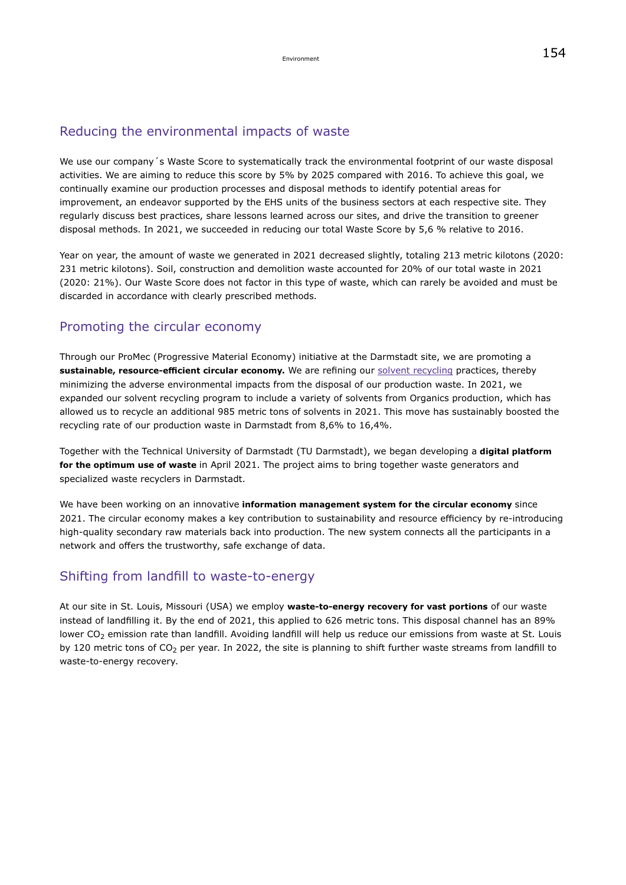#### Environment  $154$

#### Reducing the environmental impacts of waste

We use our company's Waste Score to systematically track the environmental footprint of our waste disposal activities. We are aiming to reduce this score by 5% by 2025 compared with 2016. To achieve this goal, we continually examine our production processes and disposal methods to identify potential areas for improvement, an endeavor supported by the EHS units of the business sectors at each respective site. They regularly discuss best practices, share lessons learned across our sites, and drive the transition to greener disposal methods. In 2021, we succeeded in reducing our total Waste Score by 5,6 % relative to 2016.

Year on year, the amount of waste we generated in 2021 decreased slightly, totaling 213 metric kilotons (2020: 231 metric kilotons). Soil, construction and demolition waste accounted for 20% of our total waste in 2021 (2020: 21%). Our Waste Score does not factor in this type of waste, which can rarely be avoided and must be discarded in accordance with clearly prescribed methods.

#### Promoting the circular economy

Through our ProMec (Progressive Material Economy) initiative at the Darmstadt site, we are promoting a **sustainable, resource-efficient circular economy.** We are refining our [solvent recycling](https://www.emdgroup.com/en/cr-report/2018/environment/waste-and-recycling.html) practices, thereby minimizing the adverse environmental impacts from the disposal of our production waste. In 2021, we expanded our solvent recycling program to include a variety of solvents from Organics production, which has allowed us to recycle an additional 985 metric tons of solvents in 2021. This move has sustainably boosted the recycling rate of our production waste in Darmstadt from 8,6% to 16,4%.

Together with the Technical University of Darmstadt (TU Darmstadt), we began developing a **digital platform for the optimum use of waste** in April 2021. The project aims to bring together waste generators and specialized waste recyclers in Darmstadt.

We have been working on an innovative **information management system for the circular economy** since 2021. The circular economy makes a key contribution to sustainability and resource efficiency by re-introducing high-quality secondary raw materials back into production. The new system connects all the participants in a network and offers the trustworthy, safe exchange of data.

#### Shifting from landfill to waste-to-energy

At our site in St. Louis, Missouri (USA) we employ **waste-to-energy recovery for vast portions** of our waste instead of landfilling it. By the end of 2021, this applied to 626 metric tons. This disposal channel has an 89% lower CO<sub>2</sub> emission rate than landfill. Avoiding landfill will help us reduce our emissions from waste at St. Louis by 120 metric tons of  $CO<sub>2</sub>$  per year. In 2022, the site is planning to shift further waste streams from landfill to waste-to-energy recovery.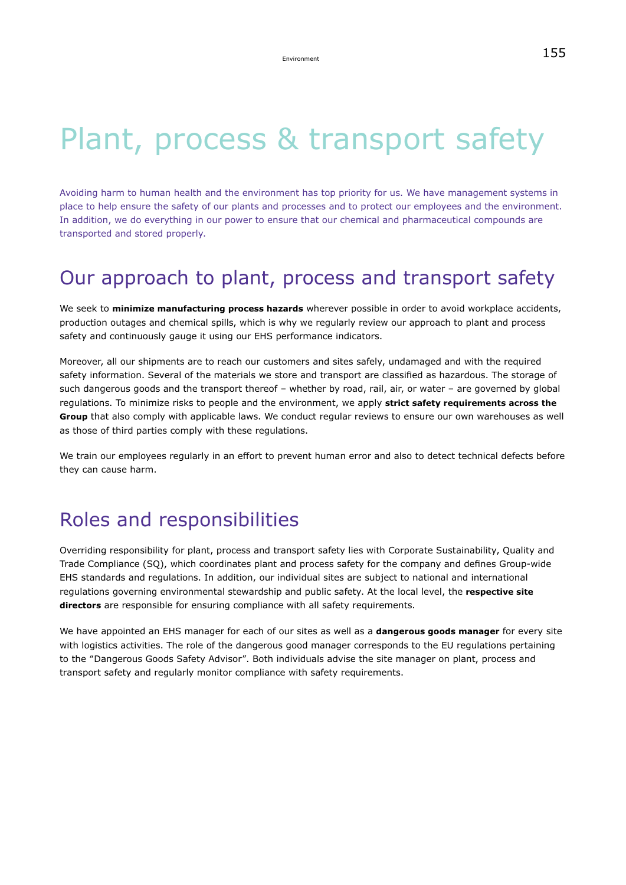# Plant, process & transport safety

Avoiding harm to human health and the environment has top priority for us. We have management systems in place to help ensure the safety of our plants and processes and to protect our employees and the environment. In addition, we do everything in our power to ensure that our chemical and pharmaceutical compounds are transported and stored properly.

## Our approach to plant, process and transport safety

We seek to **minimize manufacturing process hazards** wherever possible in order to avoid workplace accidents, production outages and chemical spills, which is why we regularly review our approach to plant and process safety and continuously gauge it using our EHS performance indicators.

Moreover, all our shipments are to reach our customers and sites safely, undamaged and with the required safety information. Several of the materials we store and transport are classified as hazardous. The storage of such dangerous goods and the transport thereof – whether by road, rail, air, or water – are governed by global regulations. To minimize risks to people and the environment, we apply **strict safety requirements across the Group** that also comply with applicable laws. We conduct regular reviews to ensure our own warehouses as well as those of third parties comply with these regulations.

We train our employees regularly in an effort to prevent human error and also to detect technical defects before they can cause harm.

### Roles and responsibilities

Overriding responsibility for plant, process and transport safety lies with Corporate Sustainability, Quality and Trade Compliance (SQ), which coordinates plant and process safety for the company and defines Group-wide EHS standards and regulations. In addition, our individual sites are subject to national and international regulations governing environmental stewardship and public safety. At the local level, the **respective site directors** are responsible for ensuring compliance with all safety requirements.

We have appointed an EHS manager for each of our sites as well as a **dangerous goods manager** for every site with logistics activities. The role of the dangerous good manager corresponds to the EU regulations pertaining to the "Dangerous Goods Safety Advisor". Both individuals advise the site manager on plant, process and transport safety and regularly monitor compliance with safety requirements.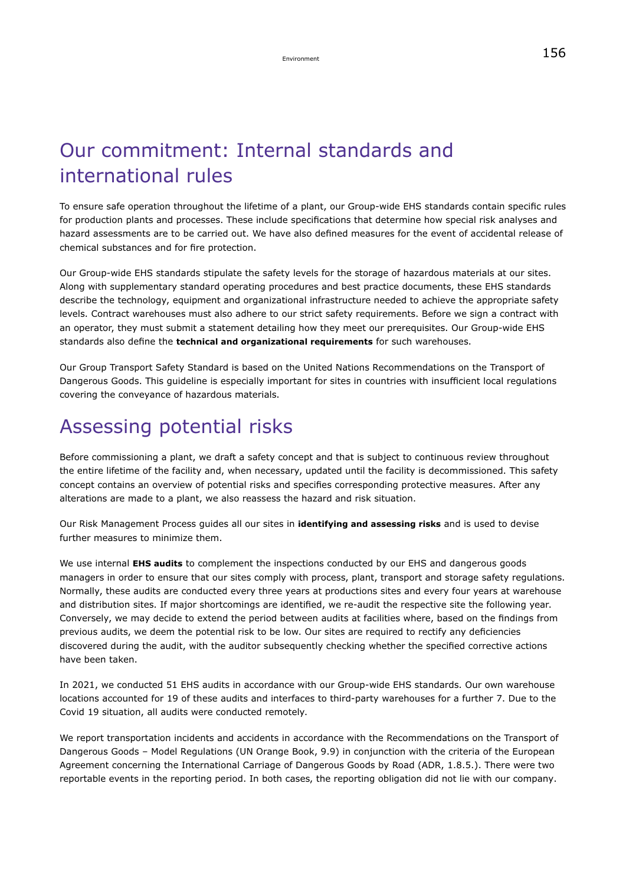# Our commitment: Internal standards and international rules

To ensure safe operation throughout the lifetime of a plant, our Group-wide EHS standards contain specific rules for production plants and processes. These include specifications that determine how special risk analyses and hazard assessments are to be carried out. We have also defined measures for the event of accidental release of chemical substances and for fire protection.

Our Group-wide EHS standards stipulate the safety levels for the storage of hazardous materials at our sites. Along with supplementary standard operating procedures and best practice documents, these EHS standards describe the technology, equipment and organizational infrastructure needed to achieve the appropriate safety levels. Contract warehouses must also adhere to our strict safety requirements. Before we sign a contract with an operator, they must submit a statement detailing how they meet our prerequisites. Our Group-wide EHS standards also define the **technical and organizational requirements** for such warehouses.

Our Group Transport Safety Standard is based on the United Nations Recommendations on the Transport of Dangerous Goods. This guideline is especially important for sites in countries with insufficient local regulations covering the conveyance of hazardous materials.

### Assessing potential risks

Before commissioning a plant, we draft a safety concept and that is subject to continuous review throughout the entire lifetime of the facility and, when necessary, updated until the facility is decommissioned. This safety concept contains an overview of potential risks and specifies corresponding protective measures. After any alterations are made to a plant, we also reassess the hazard and risk situation.

Our Risk Management Process guides all our sites in **identifying and assessing risks** and is used to devise further measures to minimize them.

We use internal **EHS audits** to complement the inspections conducted by our EHS and dangerous goods managers in order to ensure that our sites comply with process, plant, transport and storage safety regulations. Normally, these audits are conducted every three years at productions sites and every four years at warehouse and distribution sites. If major shortcomings are identified, we re-audit the respective site the following year. Conversely, we may decide to extend the period between audits at facilities where, based on the findings from previous audits, we deem the potential risk to be low. Our sites are required to rectify any deficiencies discovered during the audit, with the auditor subsequently checking whether the specified corrective actions have been taken.

In 2021, we conducted 51 EHS audits in accordance with our Group-wide EHS standards. Our own warehouse locations accounted for 19 of these audits and interfaces to third-party warehouses for a further 7. Due to the Covid 19 situation, all audits were conducted remotely.

We report transportation incidents and accidents in accordance with the Recommendations on the Transport of Dangerous Goods – Model Regulations (UN Orange Book, 9.9) in conjunction with the criteria of the European Agreement concerning the International Carriage of Dangerous Goods by Road (ADR, 1.8.5.). There were two reportable events in the reporting period. In both cases, the reporting obligation did not lie with our company.